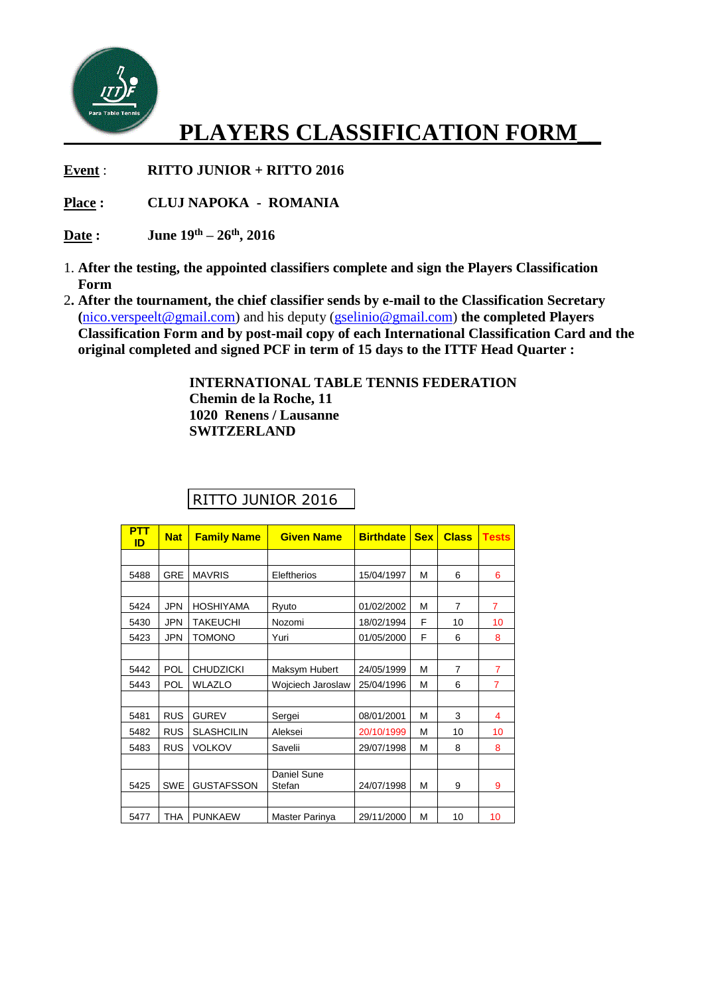

## **PLAYERS CLASSIFICATION FORM\_\_**

**Event** : **RITTO JUNIOR + RITTO 2016**

**Place : CLUJ NAPOKA - ROMANIA**

**Date : June 19th – 26th, 2016**

- 1. **After the testing, the appointed classifiers complete and sign the Players Classification Form**
- 2**. After the tournament, the chief classifier sends by e-mail to the Classification Secretary (**[nico.verspeelt@gmail.com\)](mailto:nico.verspeelt@gmail.com) and his deputy [\(gselinio@gmail.com\)](mailto:gselinio@gmail.com) **the completed Players Classification Form and by post-mail copy of each International Classification Card and the original completed and signed PCF in term of 15 days to the ITTF Head Quarter :**

**INTERNATIONAL TABLE TENNIS FEDERATION Chemin de la Roche, 11 1020 Renens / Lausanne SWITZERLAND**

| <b>PTT</b><br>ID | <b>Nat</b> | <b>Family Name</b> | <b>Given Name</b>     | <b>Birthdate</b> | <b>Sex</b> | <b>Class</b>   | <b>Tests</b>   |
|------------------|------------|--------------------|-----------------------|------------------|------------|----------------|----------------|
|                  |            |                    |                       |                  |            |                |                |
| 5488             | <b>GRE</b> | <b>MAVRIS</b>      | Eleftherios           | 15/04/1997       | M          | 6              | 6              |
|                  |            |                    |                       |                  |            |                |                |
| 5424             | <b>JPN</b> | <b>HOSHIYAMA</b>   | Ryuto                 | 01/02/2002       | M          | $\overline{7}$ | $\overline{7}$ |
| 5430             | JPN        | <b>TAKEUCHI</b>    | Nozomi                | 18/02/1994       | F          | 10             | 10             |
| 5423             | <b>JPN</b> | <b>TOMONO</b>      | Yuri                  | 01/05/2000       | F          | 6              | 8              |
|                  |            |                    |                       |                  |            |                |                |
| 5442             | <b>POL</b> | <b>CHUDZICKI</b>   | Maksym Hubert         | 24/05/1999       | M          | 7              | $\overline{7}$ |
| 5443             | POL        | <b>WLAZLO</b>      | Wojciech Jaroslaw     | 25/04/1996       | M          | 6              | $\overline{7}$ |
|                  |            |                    |                       |                  |            |                |                |
| 5481             | <b>RUS</b> | <b>GUREV</b>       | Sergei                | 08/01/2001       | M          | 3              | 4              |
| 5482             | <b>RUS</b> | <b>SLASHCILIN</b>  | Aleksei               | 20/10/1999       | M          | 10             | 10             |
| 5483             | <b>RUS</b> | <b>VOLKOV</b>      | Savelii               | 29/07/1998       | M          | 8              | 8              |
|                  |            |                    |                       |                  |            |                |                |
| 5425             | <b>SWE</b> | <b>GUSTAFSSON</b>  | Daniel Sune<br>Stefan | 24/07/1998       | M          | 9              | 9              |
|                  |            |                    |                       |                  |            |                |                |
| 5477             | <b>THA</b> | <b>PUNKAEW</b>     | Master Parinya        | 29/11/2000       | M          | 10             | 10             |

## RITTO JUNIOR 2016